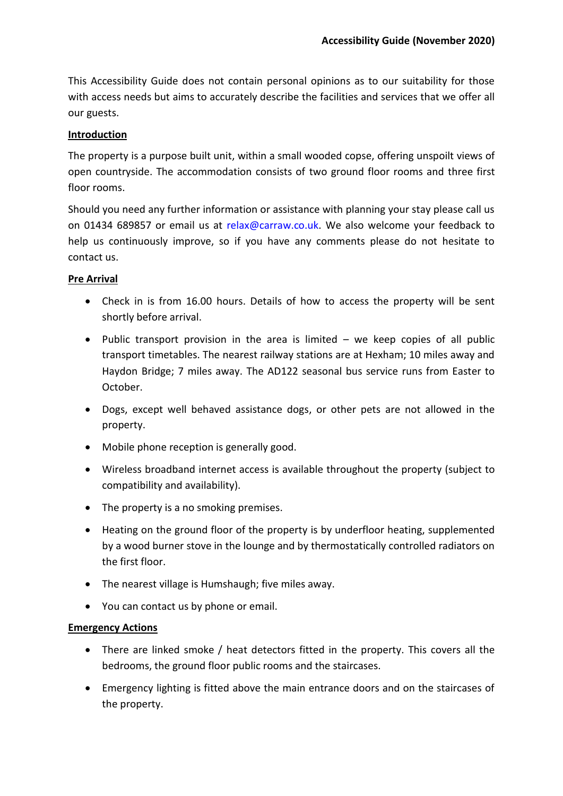This Accessibility Guide does not contain personal opinions as to our suitability for those with access needs but aims to accurately describe the facilities and services that we offer all our guests.

### **Introduction**

The property is a purpose built unit, within a small wooded copse, offering unspoilt views of open countryside. The accommodation consists of two ground floor rooms and three first floor rooms.

Should you need any further information or assistance with planning your stay please call us on 01434 689857 or email us at [relax@carraw.co.uk.](mailto:relax@carraw.co.uk) We also welcome your feedback to help us continuously improve, so if you have any comments please do not hesitate to contact us.

### **Pre Arrival**

- Check in is from 16.00 hours. Details of how to access the property will be sent shortly before arrival.
- Public transport provision in the area is limited we keep copies of all public transport timetables. The nearest railway stations are at Hexham; 10 miles away and Haydon Bridge; 7 miles away. The AD122 seasonal bus service runs from Easter to October.
- Dogs, except well behaved assistance dogs, or other pets are not allowed in the property.
- Mobile phone reception is generally good.
- Wireless broadband internet access is available throughout the property (subject to compatibility and availability).
- The property is a no smoking premises.
- Heating on the ground floor of the property is by underfloor heating, supplemented by a wood burner stove in the lounge and by thermostatically controlled radiators on the first floor.
- The nearest village is Humshaugh; five miles away.
- You can contact us by phone or email.

## **Emergency Actions**

- There are linked smoke / heat detectors fitted in the property. This covers all the bedrooms, the ground floor public rooms and the staircases.
- Emergency lighting is fitted above the main entrance doors and on the staircases of the property.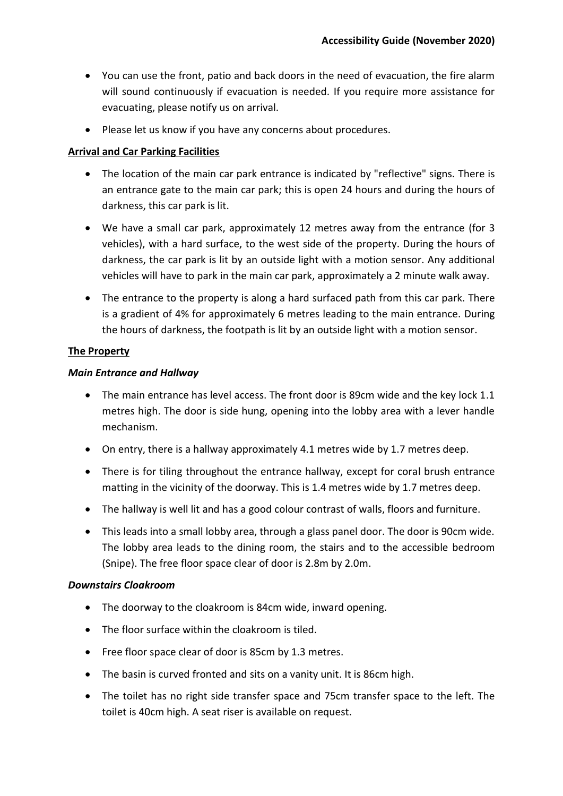- You can use the front, patio and back doors in the need of evacuation, the fire alarm will sound continuously if evacuation is needed. If you require more assistance for evacuating, please notify us on arrival.
- Please let us know if you have any concerns about procedures.

# **Arrival and Car Parking Facilities**

- The location of the main car park entrance is indicated by "reflective" signs. There is an entrance gate to the main car park; this is open 24 hours and during the hours of darkness, this car park is lit.
- We have a small car park, approximately 12 metres away from the entrance (for 3 vehicles), with a hard surface, to the west side of the property. During the hours of darkness, the car park is lit by an outside light with a motion sensor. Any additional vehicles will have to park in the main car park, approximately a 2 minute walk away.
- The entrance to the property is along a hard surfaced path from this car park. There is a gradient of 4% for approximately 6 metres leading to the main entrance. During the hours of darkness, the footpath is lit by an outside light with a motion sensor.

# **The Property**

## *Main Entrance and Hallway*

- The main entrance has level access. The front door is 89cm wide and the key lock 1.1 metres high. The door is side hung, opening into the lobby area with a lever handle mechanism.
- On entry, there is a hallway approximately 4.1 metres wide by 1.7 metres deep.
- There is for tiling throughout the entrance hallway, except for coral brush entrance matting in the vicinity of the doorway. This is 1.4 metres wide by 1.7 metres deep.
- The hallway is well lit and has a good colour contrast of walls, floors and furniture.
- This leads into a small lobby area, through a glass panel door. The door is 90cm wide. The lobby area leads to the dining room, the stairs and to the accessible bedroom (Snipe). The free floor space clear of door is 2.8m by 2.0m.

## *Downstairs Cloakroom*

- The doorway to the cloakroom is 84cm wide, inward opening.
- The floor surface within the cloakroom is tiled.
- Free floor space clear of door is 85cm by 1.3 metres.
- The basin is curved fronted and sits on a vanity unit. It is 86cm high.
- The toilet has no right side transfer space and 75cm transfer space to the left. The toilet is 40cm high. A seat riser is available on request.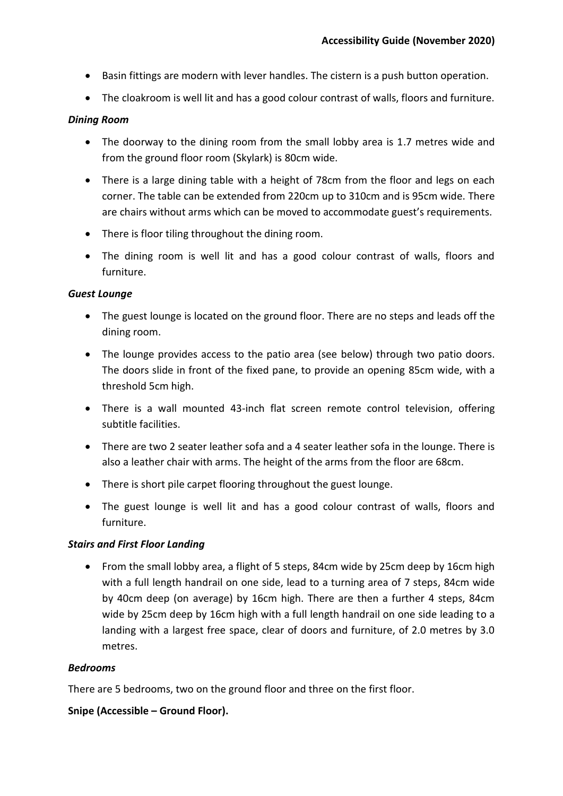- Basin fittings are modern with lever handles. The cistern is a push button operation.
- The cloakroom is well lit and has a good colour contrast of walls, floors and furniture.

### *Dining Room*

- The doorway to the dining room from the small lobby area is 1.7 metres wide and from the ground floor room (Skylark) is 80cm wide.
- There is a large dining table with a height of 78cm from the floor and legs on each corner. The table can be extended from 220cm up to 310cm and is 95cm wide. There are chairs without arms which can be moved to accommodate guest's requirements.
- There is floor tiling throughout the dining room.
- The dining room is well lit and has a good colour contrast of walls, floors and furniture.

### *Guest Lounge*

- The guest lounge is located on the ground floor. There are no steps and leads off the dining room.
- The lounge provides access to the patio area (see below) through two patio doors. The doors slide in front of the fixed pane, to provide an opening 85cm wide, with a threshold 5cm high.
- There is a wall mounted 43-inch flat screen remote control television, offering subtitle facilities.
- There are two 2 seater leather sofa and a 4 seater leather sofa in the lounge. There is also a leather chair with arms. The height of the arms from the floor are 68cm.
- There is short pile carpet flooring throughout the guest lounge.
- The guest lounge is well lit and has a good colour contrast of walls, floors and furniture.

## *Stairs and First Floor Landing*

• From the small lobby area, a flight of 5 steps, 84cm wide by 25cm deep by 16cm high with a full length handrail on one side, lead to a turning area of 7 steps, 84cm wide by 40cm deep (on average) by 16cm high. There are then a further 4 steps, 84cm wide by 25cm deep by 16cm high with a full length handrail on one side leading to a landing with a largest free space, clear of doors and furniture, of 2.0 metres by 3.0 metres.

#### *Bedrooms*

There are 5 bedrooms, two on the ground floor and three on the first floor.

## **Snipe (Accessible – Ground Floor).**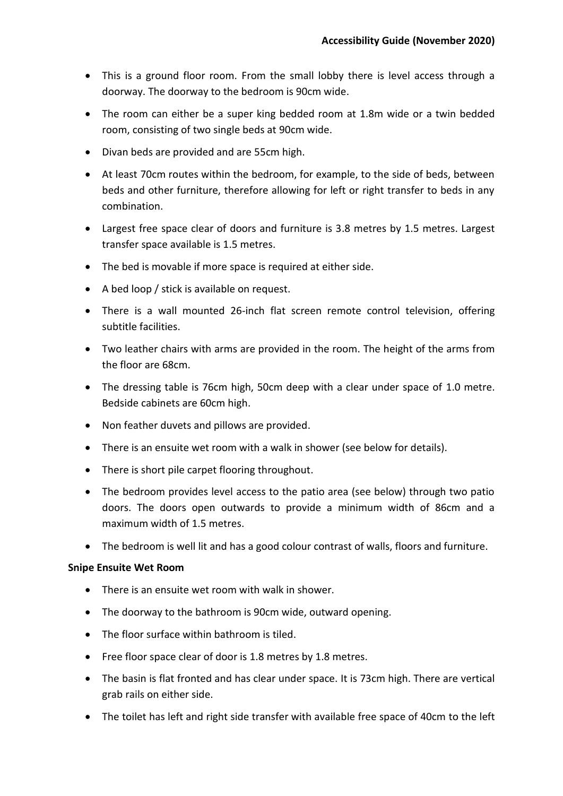- This is a ground floor room. From the small lobby there is level access through a doorway. The doorway to the bedroom is 90cm wide.
- The room can either be a super king bedded room at 1.8m wide or a twin bedded room, consisting of two single beds at 90cm wide.
- Divan beds are provided and are 55cm high.
- At least 70cm routes within the bedroom, for example, to the side of beds, between beds and other furniture, therefore allowing for left or right transfer to beds in any combination.
- Largest free space clear of doors and furniture is 3.8 metres by 1.5 metres. Largest transfer space available is 1.5 metres.
- The bed is movable if more space is required at either side.
- A bed loop / stick is available on request.
- There is a wall mounted 26-inch flat screen remote control television, offering subtitle facilities.
- Two leather chairs with arms are provided in the room. The height of the arms from the floor are 68cm.
- The dressing table is 76cm high, 50cm deep with a clear under space of 1.0 metre. Bedside cabinets are 60cm high.
- Non feather duvets and pillows are provided.
- There is an ensuite wet room with a walk in shower (see below for details).
- There is short pile carpet flooring throughout.
- The bedroom provides level access to the patio area (see below) through two patio doors. The doors open outwards to provide a minimum width of 86cm and a maximum width of 1.5 metres.
- The bedroom is well lit and has a good colour contrast of walls, floors and furniture.

#### **Snipe Ensuite Wet Room**

- There is an ensuite wet room with walk in shower.
- The doorway to the bathroom is 90cm wide, outward opening.
- The floor surface within bathroom is tiled.
- Free floor space clear of door is 1.8 metres by 1.8 metres.
- The basin is flat fronted and has clear under space. It is 73cm high. There are vertical grab rails on either side.
- The toilet has left and right side transfer with available free space of 40cm to the left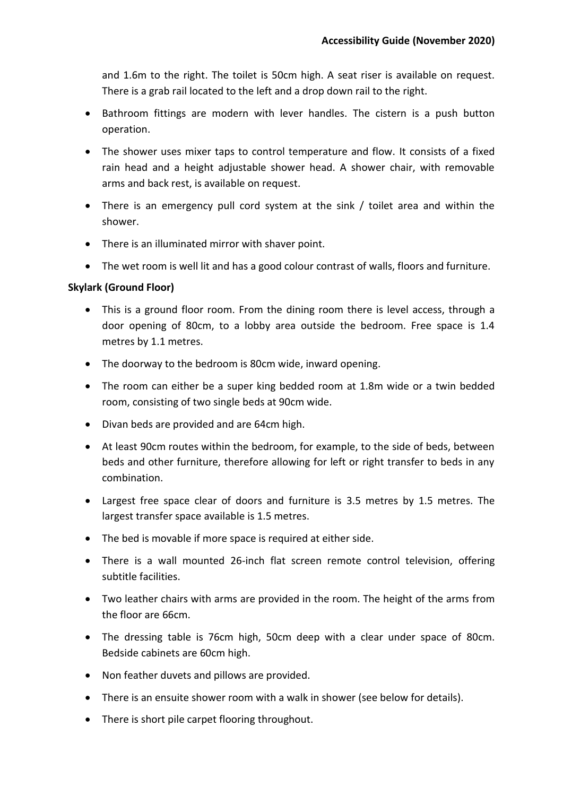and 1.6m to the right. The toilet is 50cm high. A seat riser is available on request. There is a grab rail located to the left and a drop down rail to the right.

- Bathroom fittings are modern with lever handles. The cistern is a push button operation.
- The shower uses mixer taps to control temperature and flow. It consists of a fixed rain head and a height adjustable shower head. A shower chair, with removable arms and back rest, is available on request.
- There is an emergency pull cord system at the sink / toilet area and within the shower.
- There is an illuminated mirror with shaver point.
- The wet room is well lit and has a good colour contrast of walls, floors and furniture.

## **Skylark (Ground Floor)**

- This is a ground floor room. From the dining room there is level access, through a door opening of 80cm, to a lobby area outside the bedroom. Free space is 1.4 metres by 1.1 metres.
- The doorway to the bedroom is 80cm wide, inward opening.
- The room can either be a super king bedded room at 1.8m wide or a twin bedded room, consisting of two single beds at 90cm wide.
- Divan beds are provided and are 64cm high.
- At least 90cm routes within the bedroom, for example, to the side of beds, between beds and other furniture, therefore allowing for left or right transfer to beds in any combination.
- Largest free space clear of doors and furniture is 3.5 metres by 1.5 metres. The largest transfer space available is 1.5 metres.
- The bed is movable if more space is required at either side.
- There is a wall mounted 26-inch flat screen remote control television, offering subtitle facilities.
- Two leather chairs with arms are provided in the room. The height of the arms from the floor are 66cm.
- The dressing table is 76cm high, 50cm deep with a clear under space of 80cm. Bedside cabinets are 60cm high.
- Non feather duvets and pillows are provided.
- There is an ensuite shower room with a walk in shower (see below for details).
- There is short pile carpet flooring throughout.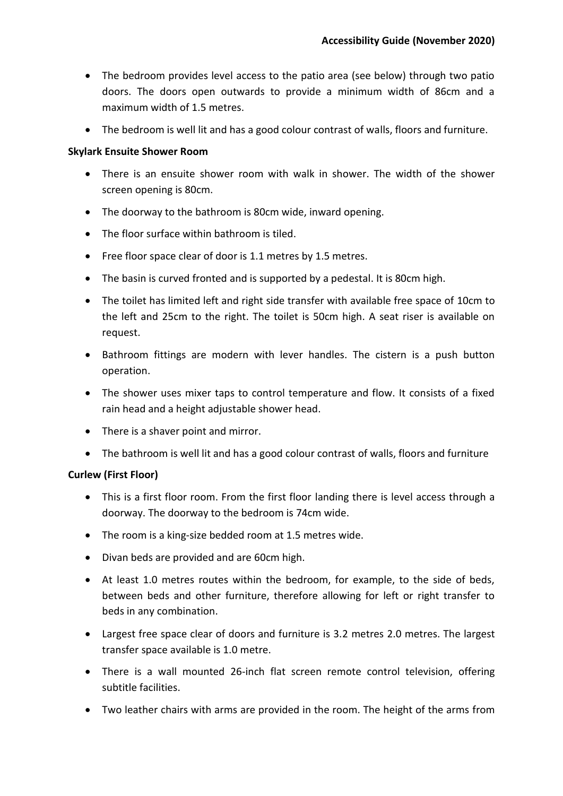- The bedroom provides level access to the patio area (see below) through two patio doors. The doors open outwards to provide a minimum width of 86cm and a maximum width of 1.5 metres.
- The bedroom is well lit and has a good colour contrast of walls, floors and furniture.

### **Skylark Ensuite Shower Room**

- There is an ensuite shower room with walk in shower. The width of the shower screen opening is 80cm.
- The doorway to the bathroom is 80cm wide, inward opening.
- The floor surface within bathroom is tiled.
- Free floor space clear of door is 1.1 metres by 1.5 metres.
- The basin is curved fronted and is supported by a pedestal. It is 80cm high.
- The toilet has limited left and right side transfer with available free space of 10cm to the left and 25cm to the right. The toilet is 50cm high. A seat riser is available on request.
- Bathroom fittings are modern with lever handles. The cistern is a push button operation.
- The shower uses mixer taps to control temperature and flow. It consists of a fixed rain head and a height adjustable shower head.
- There is a shaver point and mirror.
- The bathroom is well lit and has a good colour contrast of walls, floors and furniture

## **Curlew (First Floor)**

- This is a first floor room. From the first floor landing there is level access through a doorway. The doorway to the bedroom is 74cm wide.
- The room is a king-size bedded room at 1.5 metres wide.
- Divan beds are provided and are 60cm high.
- At least 1.0 metres routes within the bedroom, for example, to the side of beds, between beds and other furniture, therefore allowing for left or right transfer to beds in any combination.
- Largest free space clear of doors and furniture is 3.2 metres 2.0 metres. The largest transfer space available is 1.0 metre.
- There is a wall mounted 26-inch flat screen remote control television, offering subtitle facilities.
- Two leather chairs with arms are provided in the room. The height of the arms from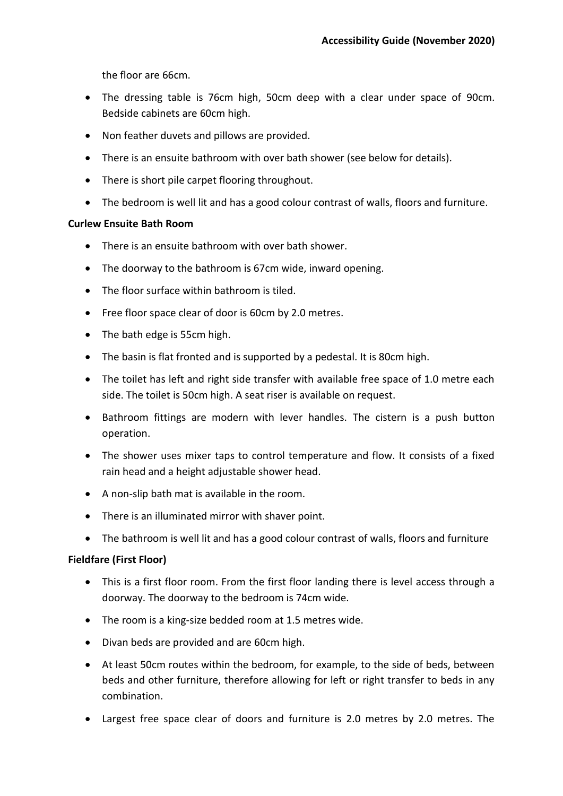the floor are 66cm.

- The dressing table is 76cm high, 50cm deep with a clear under space of 90cm. Bedside cabinets are 60cm high.
- Non feather duvets and pillows are provided.
- There is an ensuite bathroom with over bath shower (see below for details).
- There is short pile carpet flooring throughout.
- The bedroom is well lit and has a good colour contrast of walls, floors and furniture.

### **Curlew Ensuite Bath Room**

- There is an ensuite bathroom with over bath shower.
- The doorway to the bathroom is 67cm wide, inward opening.
- The floor surface within bathroom is tiled.
- Free floor space clear of door is 60cm by 2.0 metres.
- The bath edge is 55cm high.
- The basin is flat fronted and is supported by a pedestal. It is 80cm high.
- The toilet has left and right side transfer with available free space of 1.0 metre each side. The toilet is 50cm high. A seat riser is available on request.
- Bathroom fittings are modern with lever handles. The cistern is a push button operation.
- The shower uses mixer taps to control temperature and flow. It consists of a fixed rain head and a height adjustable shower head.
- A non-slip bath mat is available in the room.
- There is an illuminated mirror with shaver point.
- The bathroom is well lit and has a good colour contrast of walls, floors and furniture

## **Fieldfare (First Floor)**

- This is a first floor room. From the first floor landing there is level access through a doorway. The doorway to the bedroom is 74cm wide.
- The room is a king-size bedded room at 1.5 metres wide.
- Divan beds are provided and are 60cm high.
- At least 50cm routes within the bedroom, for example, to the side of beds, between beds and other furniture, therefore allowing for left or right transfer to beds in any combination.
- Largest free space clear of doors and furniture is 2.0 metres by 2.0 metres. The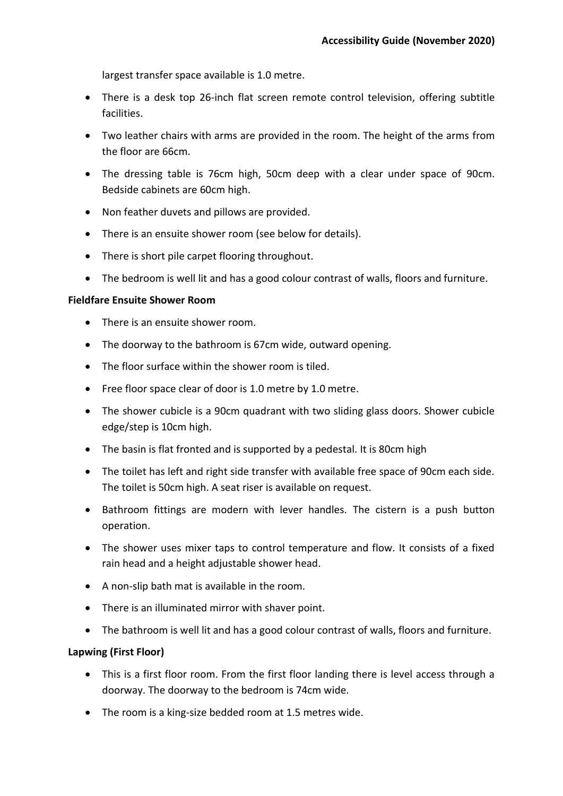largest transfer space available is 1.0 metre.

- There is a desk top 26-inch flat screen remote control television, offering subtitle facilities.
- Two leather chairs with arms are provided in the room. The height of the arms from the floor are 66cm.
- The dressing table is 76cm high, 50cm deep with a clear under space of 90cm. Bedside cabinets are 60cm high.
- Non feather duvets and pillows are provided.
- There is an ensuite shower room (see below for details).
- There is short pile carpet flooring throughout.
- The bedroom is well lit and has a good colour contrast of walls, floors and furniture.

# **Fieldfare Ensuite Shower Room**

- There is an ensuite shower room.
- The doorway to the bathroom is 67cm wide, outward opening.
- The floor surface within the shower room is tiled.
- Free floor space clear of door is 1.0 metre by 1.0 metre.
- The shower cubicle is a 90cm quadrant with two sliding glass doors. Shower cubicle edge/step is 10cm high.
- The basin is flat fronted and is supported by a pedestal. It is 80cm high
- The toilet has left and right side transfer with available free space of 90cm each side. The toilet is 50cm high. A seat riser is available on request.
- Bathroom fittings are modern with lever handles. The cistern is a push button operation.
- The shower uses mixer taps to control temperature and flow. It consists of a fixed rain head and a height adjustable shower head.
- A non-slip bath mat is available in the room.
- There is an illuminated mirror with shaver point.
- The bathroom is well lit and has a good colour contrast of walls, floors and furniture.

# **Lapwing (First Floor)**

- This is a first floor room. From the first floor landing there is level access through a doorway. The doorway to the bedroom is 74cm wide.
- The room is a king-size bedded room at 1.5 metres wide.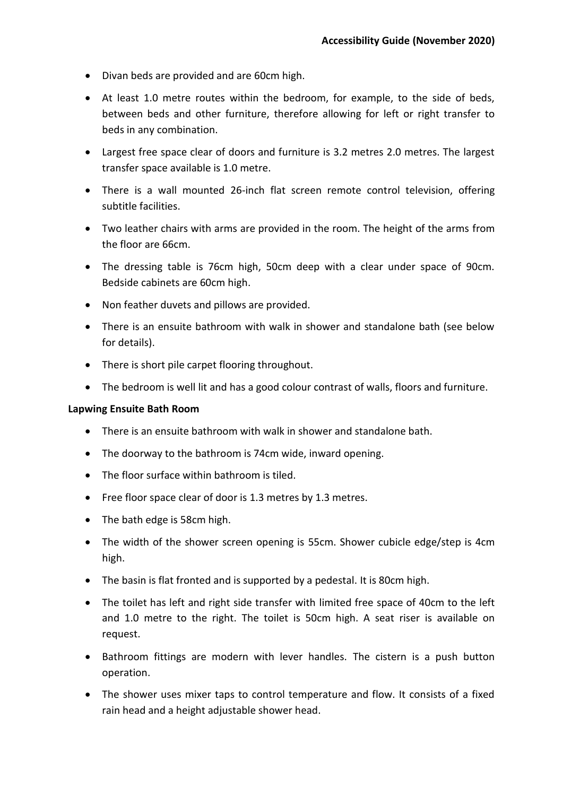- Divan beds are provided and are 60cm high.
- At least 1.0 metre routes within the bedroom, for example, to the side of beds, between beds and other furniture, therefore allowing for left or right transfer to beds in any combination.
- Largest free space clear of doors and furniture is 3.2 metres 2.0 metres. The largest transfer space available is 1.0 metre.
- There is a wall mounted 26-inch flat screen remote control television, offering subtitle facilities.
- Two leather chairs with arms are provided in the room. The height of the arms from the floor are 66cm.
- The dressing table is 76cm high, 50cm deep with a clear under space of 90cm. Bedside cabinets are 60cm high.
- Non feather duvets and pillows are provided.
- There is an ensuite bathroom with walk in shower and standalone bath (see below for details).
- There is short pile carpet flooring throughout.
- The bedroom is well lit and has a good colour contrast of walls, floors and furniture.

#### **Lapwing Ensuite Bath Room**

- There is an ensuite bathroom with walk in shower and standalone bath.
- The doorway to the bathroom is 74cm wide, inward opening.
- The floor surface within bathroom is tiled.
- Free floor space clear of door is 1.3 metres by 1.3 metres.
- The bath edge is 58cm high.
- The width of the shower screen opening is 55cm. Shower cubicle edge/step is 4cm high.
- The basin is flat fronted and is supported by a pedestal. It is 80cm high.
- The toilet has left and right side transfer with limited free space of 40cm to the left and 1.0 metre to the right. The toilet is 50cm high. A seat riser is available on request.
- Bathroom fittings are modern with lever handles. The cistern is a push button operation.
- The shower uses mixer taps to control temperature and flow. It consists of a fixed rain head and a height adjustable shower head.